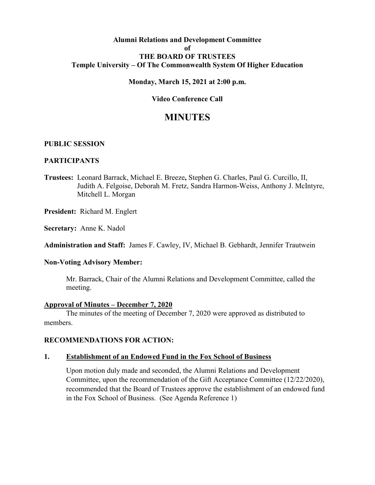## **Alumni Relations and Development Committee of THE BOARD OF TRUSTEES Temple University – Of The Commonwealth System Of Higher Education**

## **Monday, March 15, 2021 at 2:00 p.m.**

# **Video Conference Call**

# **MINUTES**

## **PUBLIC SESSION**

## **PARTICIPANTS**

**Trustees:** Leonard Barrack, Michael E. Breeze**,** Stephen G. Charles, Paul G. Curcillo, II, Judith A. Felgoise, Deborah M. Fretz, Sandra Harmon-Weiss, Anthony J. McIntyre, Mitchell L. Morgan

**President:** Richard M. Englert

**Secretary:** Anne K. Nadol

**Administration and Staff:** James F. Cawley, IV, Michael B. Gebhardt, Jennifer Trautwein

#### **Non-Voting Advisory Member:**

Mr. Barrack, Chair of the Alumni Relations and Development Committee, called the meeting.

#### **Approval of Minutes – December 7, 2020**

The minutes of the meeting of December 7, 2020 were approved as distributed to members.

## **RECOMMENDATIONS FOR ACTION:**

#### **1. Establishment of an Endowed Fund in the Fox School of Business**

Upon motion duly made and seconded, the Alumni Relations and Development Committee, upon the recommendation of the Gift Acceptance Committee (12/22/2020), recommended that the Board of Trustees approve the establishment of an endowed fund in the Fox School of Business. (See Agenda Reference 1)